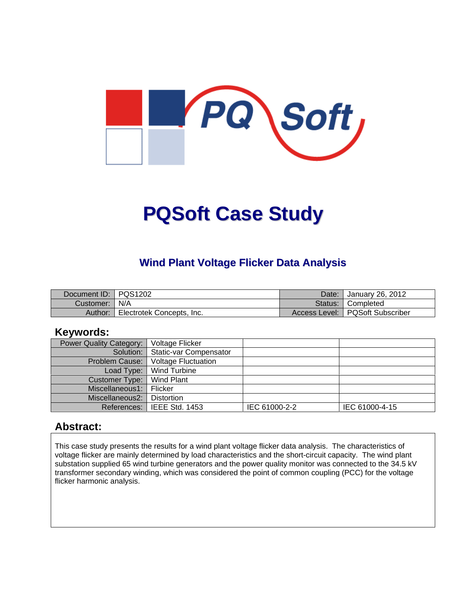

# **PQSoft Case Study**

## **Wind Plant Voltage Flicker Data Analysis**

| Document ID: PQS1202 |                           | Date: | Uanuary 26, 2012                  |
|----------------------|---------------------------|-------|-----------------------------------|
| Customer:   N/A      |                           |       | Status: Completed                 |
| Author:              | Electrotek Concepts, Inc. |       | Access Level:   PQSoft Subscriber |

#### **Keywords:**

| Power Quality Category: | Voltage Flicker                    |               |                |
|-------------------------|------------------------------------|---------------|----------------|
|                         | Solution:   Static-var Compensator |               |                |
| Problem Cause:          | <b>Voltage Fluctuation</b>         |               |                |
|                         | Load Type:   Wind Turbine          |               |                |
| Customer Type:          | Wind Plant                         |               |                |
| Miscellaneous1: Flicker |                                    |               |                |
| Miscellaneous2:         | l Distortion                       |               |                |
|                         | References: I IEEE Std. 1453       | IEC 61000-2-2 | IEC 61000-4-15 |

#### **Abstract:**

This case study presents the results for a wind plant voltage flicker data analysis. The characteristics of voltage flicker are mainly determined by load characteristics and the short-circuit capacity. The wind plant substation supplied 65 wind turbine generators and the power quality monitor was connected to the 34.5 kV transformer secondary winding, which was considered the point of common coupling (PCC) for the voltage flicker harmonic analysis.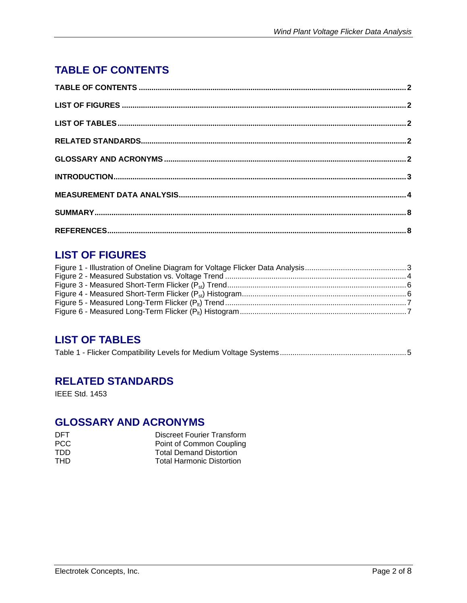# **TABLE OF CONTENTS**

# **LIST OF FIGURES**

## **LIST OF TABLES**

|--|--|--|

### **RELATED STANDARDS**

IEEE Std. 1453

## **GLOSSARY AND ACRONYMS**

| DET. | Discreet Fourier Transform       |
|------|----------------------------------|
| PCC. | Point of Common Coupling         |
| חחד  | <b>Total Demand Distortion</b>   |
| THD. | <b>Total Harmonic Distortion</b> |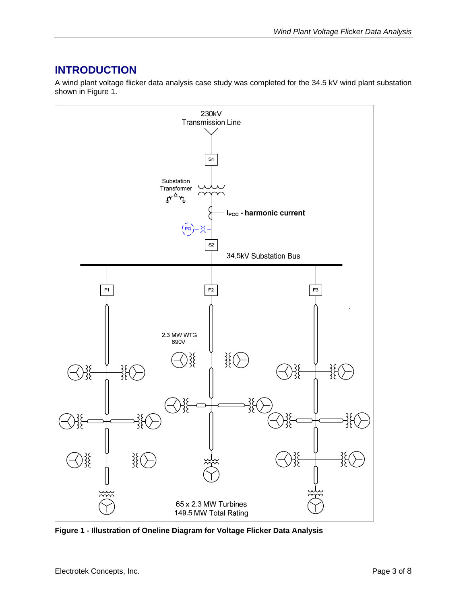# **INTRODUCTION**

A wind plant voltage flicker data analysis case study was completed for the 34.5 kV wind plant substation shown in Figure 1.



**Figure 1 - Illustration of Oneline Diagram for Voltage Flicker Data Analysis**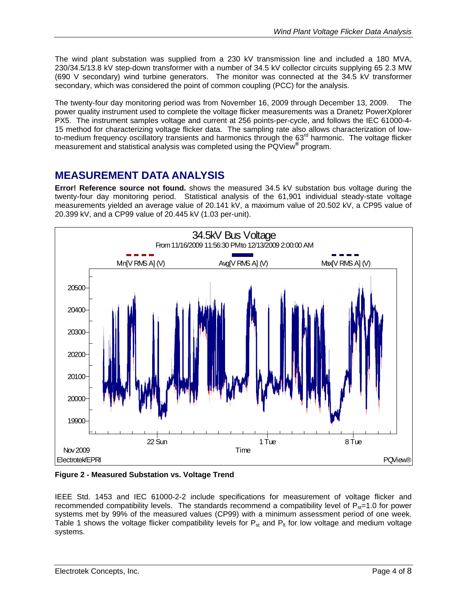The wind plant substation was supplied from a 230 kV transmission line and included a 180 MVA, 230/34.5/13.8 kV step-down transformer with a number of 34.5 kV collector circuits supplying 65 2.3 MW (690 V secondary) wind turbine generators. The monitor was connected at the 34.5 kV transformer secondary, which was considered the point of common coupling (PCC) for the analysis.

The twenty-four day monitoring period was from November 16, 2009 through December 13, 2009. The power quality instrument used to complete the voltage flicker measurements was a Dranetz PowerXplorer PX5. The instrument samples voltage and current at 256 points-per-cycle, and follows the IEC 61000-4- 15 method for characterizing voltage flicker data. The sampling rate also allows characterization of lowto-medium frequency oscillatory transients and harmonics through the 63<sup>rd</sup> harmonic. The voltage flicker measurement and statistical analysis was completed using the PQView**®** program.

### **MEASUREMENT DATA ANALYSIS**

**Error! Reference source not found.** shows the measured 34.5 kV substation bus voltage during the twenty-four day monitoring period. Statistical analysis of the 61,901 individual steady-state voltage measurements yielded an average value of 20.141 kV, a maximum value of 20.502 kV, a CP95 value of 20.399 kV, and a CP99 value of 20.445 kV (1.03 per-unit).



**Figure 2 - Measured Substation vs. Voltage Trend** 

IEEE Std. 1453 and IEC 61000-2-2 include specifications for measurement of voltage flicker and recommended compatibility levels. The standards recommend a compatibility level of  $P_{st}=1.0$  for power systems met by 99% of the measured values (CP99) with a minimum assessment period of one week. Table 1 shows the voltage flicker compatibility levels for  $P_{st}$  and  $P_{lt}$  for low voltage and medium voltage systems.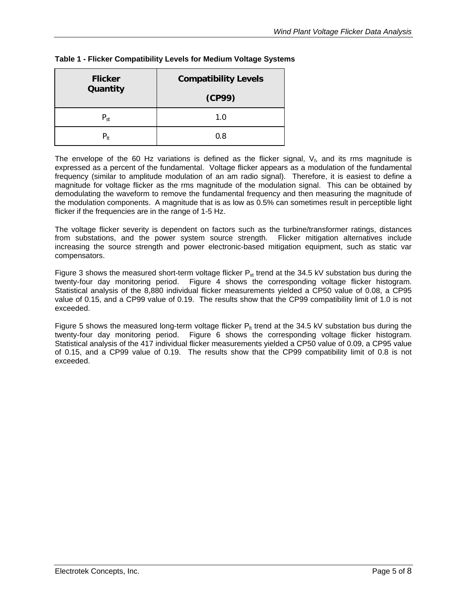| <b>Flicker</b><br>Quantity | <b>Compatibility Levels</b> |  |
|----------------------------|-----------------------------|--|
|                            | (CP99)                      |  |
| $P_{st}$                   | 1.0                         |  |
| $P_{1t}$                   | 0.8                         |  |

#### **Table 1 - Flicker Compatibility Levels for Medium Voltage Systems**

The envelope of the 60 Hz variations is defined as the flicker signal,  $V_f$ , and its rms magnitude is expressed as a percent of the fundamental. Voltage flicker appears as a modulation of the fundamental frequency (similar to amplitude modulation of an am radio signal). Therefore, it is easiest to define a magnitude for voltage flicker as the rms magnitude of the modulation signal. This can be obtained by demodulating the waveform to remove the fundamental frequency and then measuring the magnitude of the modulation components. A magnitude that is as low as 0.5% can sometimes result in perceptible light flicker if the frequencies are in the range of 1-5 Hz.

The voltage flicker severity is dependent on factors such as the turbine/transformer ratings, distances from substations, and the power system source strength. Flicker mitigation alternatives include increasing the source strength and power electronic-based mitigation equipment, such as static var compensators.

Figure 3 shows the measured short-term voltage flicker  $P_{st}$  trend at the 34.5 kV substation bus during the twenty-four day monitoring period. Figure 4 shows the corresponding voltage flicker histogram. Statistical analysis of the 8,880 individual flicker measurements yielded a CP50 value of 0.08, a CP95 value of 0.15, and a CP99 value of 0.19. The results show that the CP99 compatibility limit of 1.0 is not exceeded.

Figure 5 shows the measured long-term voltage flicker  $P_{lt}$  trend at the 34.5 kV substation bus during the twenty-four day monitoring period. Figure 6 shows the corresponding voltage flicker histogram. Statistical analysis of the 417 individual flicker measurements yielded a CP50 value of 0.09, a CP95 value of 0.15, and a CP99 value of 0.19. The results show that the CP99 compatibility limit of 0.8 is not exceeded.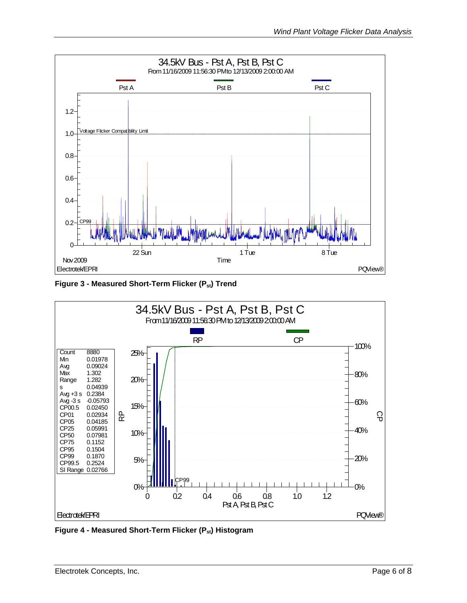

Figure 3 - Measured Short-Term Flicker (P<sub>st</sub>) Trend



Figure 4 - Measured Short-Term Flicker (P<sub>st</sub>) Histogram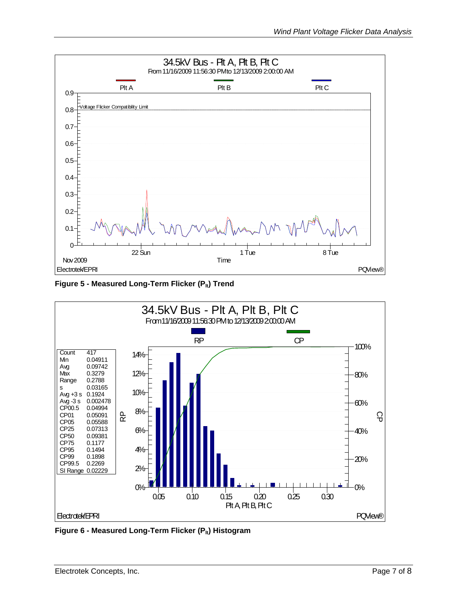

Figure 5 - Measured Long-Term Flicker (P<sub>lt</sub>) Trend



Figure 6 - Measured Long-Term Flicker (P<sub>lt</sub>) Histogram